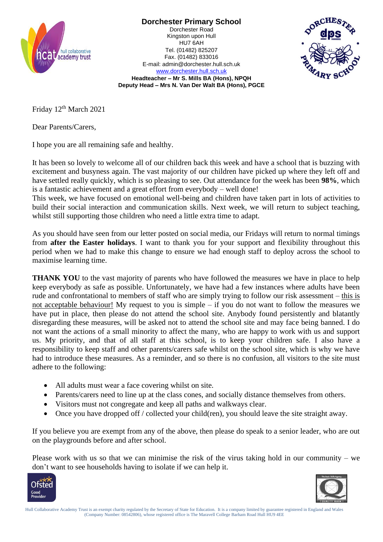

**Dorchester Primary School** Dorchester Road Kingston upon Hull

HU7 6AH Tel. (01482) 825207 Fax. (01482) 833016 E-mail: admin@dorchester.hull.sch.uk



[www.dorchester.hull.sch.uk](http://www.dorchester.hull.sch.uk/) **Headteacher – Mr S. Mills BA (Hons), NPQH Deputy Head – Mrs N. Van Der Walt BA (Hons), PGCE**

Friday 12<sup>th</sup> March 2021

Dear Parents/Carers,

I hope you are all remaining safe and healthy.

It has been so lovely to welcome all of our children back this week and have a school that is buzzing with excitement and busyness again. The vast majority of our children have picked up where they left off and have settled really quickly, which is so pleasing to see. Out attendance for the week has been **98%**, which is a fantastic achievement and a great effort from everybody – well done!

This week, we have focused on emotional well-being and children have taken part in lots of activities to build their social interaction and communication skills. Next week, we will return to subject teaching, whilst still supporting those children who need a little extra time to adapt.

As you should have seen from our letter posted on social media, our Fridays will return to normal timings from **after the Easter holidays**. I want to thank you for your support and flexibility throughout this period when we had to make this change to ensure we had enough staff to deploy across the school to maximise learning time.

**THANK YOU** to the vast majority of parents who have followed the measures we have in place to help keep everybody as safe as possible. Unfortunately, we have had a few instances where adults have been rude and confrontational to members of staff who are simply trying to follow our risk assessment – this is not acceptable behaviour! My request to you is simple – if you do not want to follow the measures we have put in place, then please do not attend the school site. Anybody found persistently and blatantly disregarding these measures, will be asked not to attend the school site and may face being banned. I do not want the actions of a small minority to affect the many, who are happy to work with us and support us. My priority, and that of all staff at this school, is to keep your children safe. I also have a responsibility to keep staff and other parents/carers safe whilst on the school site, which is why we have had to introduce these measures. As a reminder, and so there is no confusion, all visitors to the site must adhere to the following:

- All adults must wear a face covering whilst on site.
- Parents/carers need to line up at the class cones, and socially distance themselves from others.
- Visitors must not congregate and keep all paths and walkways clear.
- Once you have dropped off / collected your child(ren), you should leave the site straight away.

If you believe you are exempt from any of the above, then please do speak to a senior leader, who are out on the playgrounds before and after school.

Please work with us so that we can minimise the risk of the virus taking hold in our community – we don't want to see households having to isolate if we can help it.